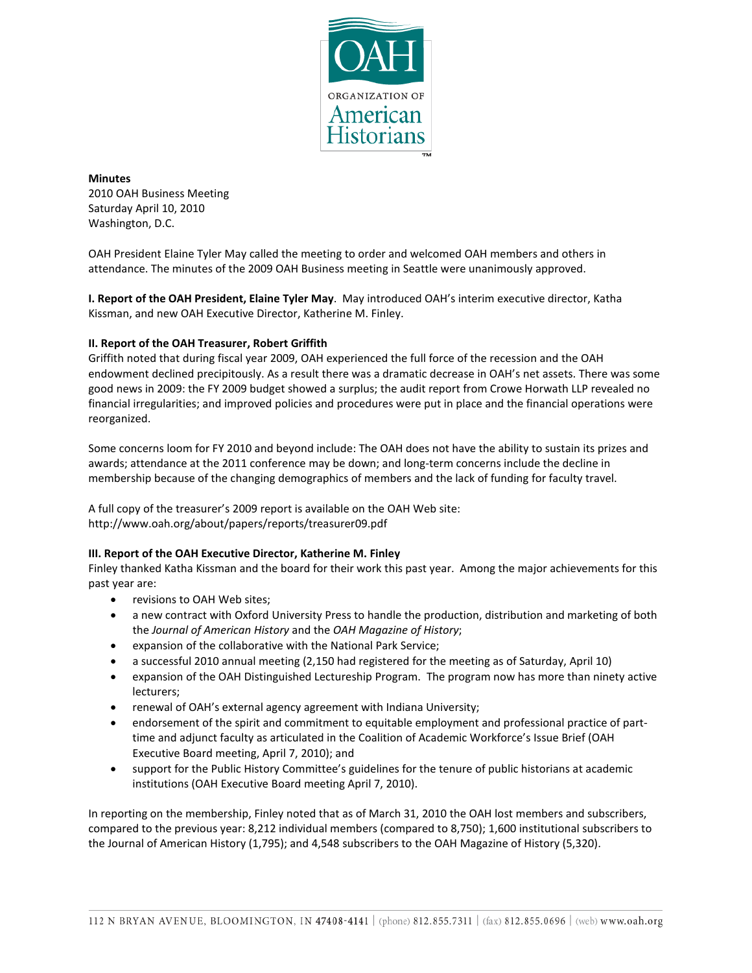

**Minutes** 2010 OAH Business Meeting Saturday April 10, 2010 Washington, D.C.

OAH President Elaine Tyler May called the meeting to order and welcomed OAH members and others in attendance. The minutes of the 2009 OAH Business meeting in Seattle were unanimously approved.

**I. Report of the OAH President, Elaine Tyler May**. May introduced OAH's interim executive director, Katha Kissman, and new OAH Executive Director, Katherine M. Finley.

## **II. Report of the OAH Treasurer, Robert Griffith**

Griffith noted that during fiscal year 2009, OAH experienced the full force of the recession and the OAH endowment declined precipitously. As a result there was a dramatic decrease in OAH's net assets. There was some good news in 2009: the FY 2009 budget showed a surplus; the audit report from Crowe Horwath LLP revealed no financial irregularities; and improved policies and procedures were put in place and the financial operations were reorganized.

Some concerns loom for FY 2010 and beyond include: The OAH does not have the ability to sustain its prizes and awards; attendance at the 2011 conference may be down; and long-term concerns include the decline in membership because of the changing demographics of members and the lack of funding for faculty travel.

A full copy of the treasurer's 2009 report is available on the OAH Web site: http://www.oah.org/about/papers/reports/treasurer09.pdf

## **III. Report of the OAH Executive Director, Katherine M. Finley**

Finley thanked Katha Kissman and the board for their work this past year. Among the major achievements for this past year are:

- revisions to OAH Web sites;
- a new contract with Oxford University Press to handle the production, distribution and marketing of both the *Journal of American History* and the *OAH Magazine of History*;
- expansion of the collaborative with the National Park Service;
- a successful 2010 annual meeting (2,150 had registered for the meeting as of Saturday, April 10)
- expansion of the OAH Distinguished Lectureship Program. The program now has more than ninety active lecturers;
- renewal of OAH's external agency agreement with Indiana University;
- endorsement of the spirit and commitment to equitable employment and professional practice of parttime and adjunct faculty as articulated in the Coalition of Academic Workforce's Issue Brief (OAH Executive Board meeting, April 7, 2010); and
- support for the Public History Committee's guidelines for the tenure of public historians at academic institutions (OAH Executive Board meeting April 7, 2010).

In reporting on the membership, Finley noted that as of March 31, 2010 the OAH lost members and subscribers, compared to the previous year: 8,212 individual members (compared to 8,750); 1,600 institutional subscribers to the Journal of American History (1,795); and 4,548 subscribers to the OAH Magazine of History (5,320).